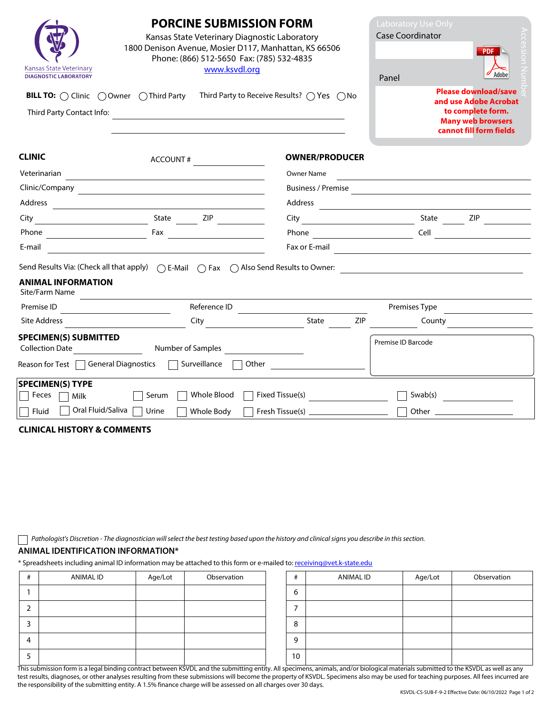| <b>Kansas State Veterinary</b><br>www.ksvdl.org<br><b>DIAGNOSTIC LABORATORY</b>                                                                                                           | <b>PORCINE SUBMISSION FORM</b><br>Kansas State Veterinary Diagnostic Laboratory<br>1800 Denison Avenue, Mosier D117, Manhattan, KS 66506<br>Phone: (866) 512-5650 Fax: (785) 532-4835<br>Third Party to Receive Results? $\bigcap$ Yes $\bigcap$ No |                                                                     |                                                                                                   |  |  |
|-------------------------------------------------------------------------------------------------------------------------------------------------------------------------------------------|-----------------------------------------------------------------------------------------------------------------------------------------------------------------------------------------------------------------------------------------------------|---------------------------------------------------------------------|---------------------------------------------------------------------------------------------------|--|--|
| <b>BILL TO:</b> $\bigcap$ Clinic $\bigcap$ Owner $\bigcap$ Third Party<br>Third Party Contact Info:<br><u> 1989 - John Stein, Amerikaansk politiker (* 1958)</u>                          |                                                                                                                                                                                                                                                     |                                                                     | and use Adobe Acrobat<br>to complete form.<br><b>Many web browsers</b><br>cannot fill form fields |  |  |
| <b>CLINIC</b><br>ACCOUNT#                                                                                                                                                                 | <b>OWNER/PRODUCER</b>                                                                                                                                                                                                                               |                                                                     |                                                                                                   |  |  |
| Veterinarian                                                                                                                                                                              | Owner Name                                                                                                                                                                                                                                          | <u> 1989 - Johann Stein, mars an deus Amerikaansk kommunister (</u> |                                                                                                   |  |  |
|                                                                                                                                                                                           |                                                                                                                                                                                                                                                     |                                                                     |                                                                                                   |  |  |
|                                                                                                                                                                                           |                                                                                                                                                                                                                                                     |                                                                     |                                                                                                   |  |  |
|                                                                                                                                                                                           |                                                                                                                                                                                                                                                     |                                                                     |                                                                                                   |  |  |
|                                                                                                                                                                                           |                                                                                                                                                                                                                                                     |                                                                     |                                                                                                   |  |  |
| E-mail<br><u> 1989 - Johann Stoff, deutscher Stoffen und der Stoffen und der Stoffen und der Stoffen und der Stoffen und der</u>                                                          |                                                                                                                                                                                                                                                     |                                                                     |                                                                                                   |  |  |
| <b>ANIMAL INFORMATION</b><br>Site/Farm Name<br><u> 1989 - Johann Barn, mars ann an t-Amhain Aonaich an t-Aonaich an t-Aonaich ann an t-Aonaich ann an t-Aonaich</u>                       |                                                                                                                                                                                                                                                     |                                                                     |                                                                                                   |  |  |
| Reference ID<br>Premise ID<br><u> 1980 - Andrea Station Barbara, politik eta provincia eta provincia eta provincia eta provincia eta provincia</u>                                        |                                                                                                                                                                                                                                                     | Premises Type                                                       |                                                                                                   |  |  |
| Site Address<br><b>City City</b>                                                                                                                                                          | State                                                                                                                                                                                                                                               | <b>ZIP</b>                                                          | County                                                                                            |  |  |
| <b>SPECIMEN(S) SUBMITTED</b><br>Collection Date <b>Set Accord Property</b> Number of Samples<br>Reason for Test $\Box$ General Diagnostics $\Box$<br>Surveillance $\Box$                  |                                                                                                                                                                                                                                                     | Premise ID Barcode                                                  |                                                                                                   |  |  |
| <b>SPECIMEN(S) TYPE</b><br>Whole Blood $\Box$<br>$\Box$ Feces $\Box$ Milk<br>Serum  <br>  Oral Fluid/Saliva  <br>Fluid<br>  Urine<br>Whole Body<br><b>CLINICAL HISTORY &amp; COMMENTS</b> | Fixed Tissue(s) $\qquad \qquad \qquad$                                                                                                                                                                                                              |                                                                     | Swab(s)                                                                                           |  |  |

*Pathologist's Discretion - The diagnostician will select the best testing based upon the history and clinical signs you describe in this section.* 

## **ANIMAL IDENTIFICATION INFORMATION\***

\* Spreadsheets including animal ID information may be attached to this form or e-mailed to: receiving@vet.k‐state.edu

| # | ANIMAL ID | Age/Lot | Observation | #  | ANIMAL ID | Age/Lot | Observation |
|---|-----------|---------|-------------|----|-----------|---------|-------------|
|   |           |         |             | b  |           |         |             |
|   |           |         |             |    |           |         |             |
| 3 |           |         |             | 8  |           |         |             |
| 4 |           |         |             | 9  |           |         |             |
| ∍ |           |         |             | 10 |           |         |             |

This submission form is a legal binding contract between KSVDL and the submitting entity. All specimens, animals, and/or biological materials submitted to the KSVDL as well as any This submitted to the KSVDL as well as any test results, diagnoses, or other analyses resulting from these submissions will become the property of KSVDL. Specimens also may be used for teaching purposes. All fees incurred are the responsibility of the submitting entity. A 1.5% finance charge will be assessed on all charges over 30 days.